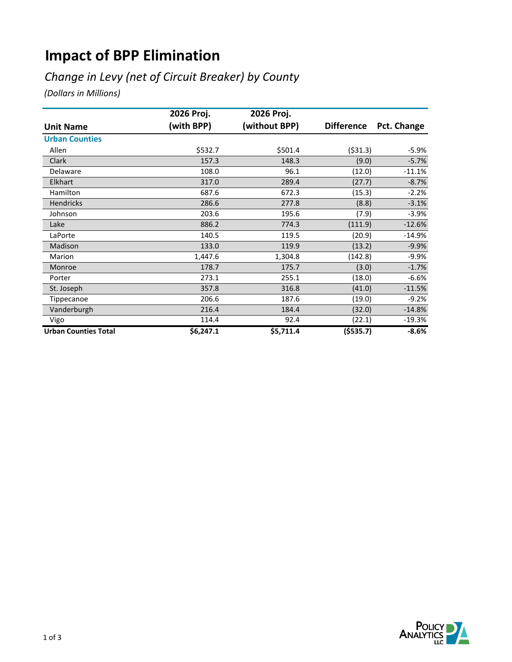# **Impact of BPP Elimination**

## *Change in Levy (net of Circuit Breaker) by County*

*(Dollars in Millions)*

|                             | 2026 Proj. | 2026 Proj.    |                   |             |
|-----------------------------|------------|---------------|-------------------|-------------|
| <b>Unit Name</b>            | (with BPP) | (without BPP) | <b>Difference</b> | Pct. Change |
| <b>Urban Counties</b>       |            |               |                   |             |
| Allen                       | \$532.7    | \$501.4       | ( \$31.3)         | $-5.9%$     |
| Clark                       | 157.3      | 148.3         | (9.0)             | $-5.7%$     |
| Delaware                    | 108.0      | 96.1          | (12.0)            | $-11.1%$    |
| <b>Elkhart</b>              | 317.0      | 289.4         | (27.7)            | $-8.7%$     |
| Hamilton                    | 687.6      | 672.3         | (15.3)            | $-2.2%$     |
| Hendricks                   | 286.6      | 277.8         | (8.8)             | $-3.1%$     |
| Johnson                     | 203.6      | 195.6         | (7.9)             | $-3.9%$     |
| Lake                        | 886.2      | 774.3         | (111.9)           | $-12.6%$    |
| LaPorte                     | 140.5      | 119.5         | (20.9)            | $-14.9%$    |
| Madison                     | 133.0      | 119.9         | (13.2)            | $-9.9%$     |
| Marion                      | 1,447.6    | 1,304.8       | (142.8)           | $-9.9%$     |
| Monroe                      | 178.7      | 175.7         | (3.0)             | $-1.7%$     |
| Porter                      | 273.1      | 255.1         | (18.0)            | $-6.6%$     |
| St. Joseph                  | 357.8      | 316.8         | (41.0)            | $-11.5%$    |
| Tippecanoe                  | 206.6      | 187.6         | (19.0)            | $-9.2%$     |
| Vanderburgh                 | 216.4      | 184.4         | (32.0)            | $-14.8%$    |
| Vigo                        | 114.4      | 92.4          | (22.1)            | $-19.3%$    |
| <b>Urban Counties Total</b> | \$6,247.1  | \$5,711.4     | (5535.7)          | $-8.6%$     |

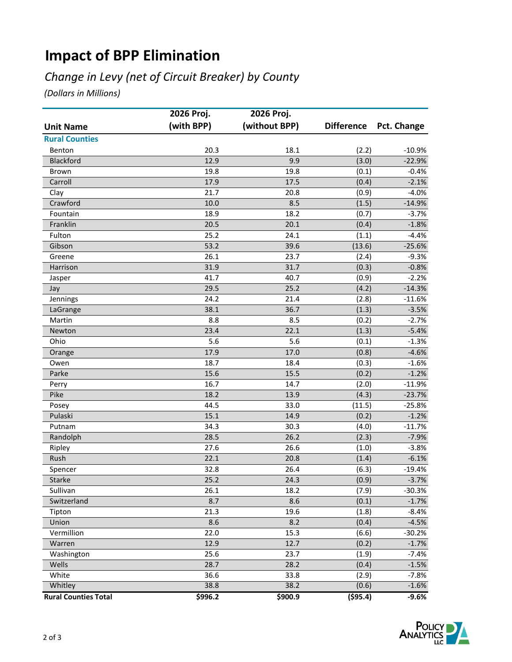# **Impact of BPP Elimination**

## *Change in Levy (net of Circuit Breaker) by County*

*(Dollars in Millions)*

|                             | 2026 Proj. | 2026 Proj.    |                   |             |
|-----------------------------|------------|---------------|-------------------|-------------|
| <b>Unit Name</b>            | (with BPP) | (without BPP) | <b>Difference</b> | Pct. Change |
| <b>Rural Counties</b>       |            |               |                   |             |
| Benton                      | 20.3       | 18.1          | (2.2)             | $-10.9%$    |
| Blackford                   | 12.9       | 9.9           | (3.0)             | $-22.9%$    |
| Brown                       | 19.8       | 19.8          | (0.1)             | $-0.4%$     |
| Carroll                     | 17.9       | 17.5          | (0.4)             | $-2.1%$     |
| Clay                        | 21.7       | 20.8          | (0.9)             | $-4.0%$     |
| Crawford                    | 10.0       | 8.5           | (1.5)             | $-14.9%$    |
| Fountain                    | 18.9       | 18.2          | (0.7)             | $-3.7%$     |
| Franklin                    | 20.5       | 20.1          | (0.4)             | $-1.8%$     |
| Fulton                      | 25.2       | 24.1          | (1.1)             | $-4.4%$     |
| Gibson                      | 53.2       | 39.6          | (13.6)            | $-25.6%$    |
| Greene                      | 26.1       | 23.7          | (2.4)             | $-9.3%$     |
| Harrison                    | 31.9       | 31.7          | (0.3)             | $-0.8%$     |
| Jasper                      | 41.7       | 40.7          | (0.9)             | $-2.2%$     |
| Jay                         | 29.5       | 25.2          | (4.2)             | $-14.3%$    |
| Jennings                    | 24.2       | 21.4          | (2.8)             | $-11.6%$    |
| LaGrange                    | 38.1       | 36.7          | (1.3)             | $-3.5%$     |
| Martin                      | 8.8        | 8.5           | (0.2)             | $-2.7%$     |
| Newton                      | 23.4       | 22.1          | (1.3)             | $-5.4%$     |
| Ohio                        | 5.6        | 5.6           | (0.1)             | $-1.3%$     |
| Orange                      | 17.9       | 17.0          | (0.8)             | $-4.6%$     |
| Owen                        | 18.7       | 18.4          | (0.3)             | $-1.6%$     |
| Parke                       | 15.6       | 15.5          | (0.2)             | $-1.2%$     |
| Perry                       | 16.7       | 14.7          | (2.0)             | $-11.9%$    |
| Pike                        | 18.2       | 13.9          | (4.3)             | $-23.7%$    |
| Posey                       | 44.5       | 33.0          | (11.5)            | $-25.8%$    |
| Pulaski                     | 15.1       | 14.9          | (0.2)             | $-1.2%$     |
| Putnam                      | 34.3       | 30.3          | (4.0)             | $-11.7%$    |
| Randolph                    | 28.5       | 26.2          | (2.3)             | $-7.9%$     |
| Ripley                      | 27.6       | 26.6          | (1.0)             | $-3.8%$     |
| Rush                        | 22.1       | 20.8          | (1.4)             | $-6.1%$     |
| Spencer                     | 32.8       | 26.4          | (6.3)             | $-19.4%$    |
| Starke                      | 25.2       | 24.3          | (0.9)             | $-3.7%$     |
| Sullivan                    | 26.1       | 18.2          | (7.9)             | $-30.3%$    |
| Switzerland                 | 8.7        | 8.6           | (0.1)             | $-1.7%$     |
| Tipton                      | 21.3       | 19.6          | (1.8)             | $-8.4%$     |
| Union                       | 8.6        | 8.2           | (0.4)             | $-4.5%$     |
| Vermillion                  | 22.0       | 15.3          | (6.6)             | $-30.2%$    |
| Warren                      | 12.9       | 12.7          | (0.2)             | $-1.7%$     |
| Washington                  | 25.6       | 23.7          | (1.9)             | $-7.4%$     |
| Wells                       | 28.7       | 28.2          | (0.4)             | $-1.5%$     |
| White                       | 36.6       | 33.8          | (2.9)             | $-7.8%$     |
| Whitley                     | 38.8       | 38.2          | (0.6)             | $-1.6%$     |
| <b>Rural Counties Total</b> | \$996.2    | \$900.9       | $($ \$95.4)       | $-9.6%$     |